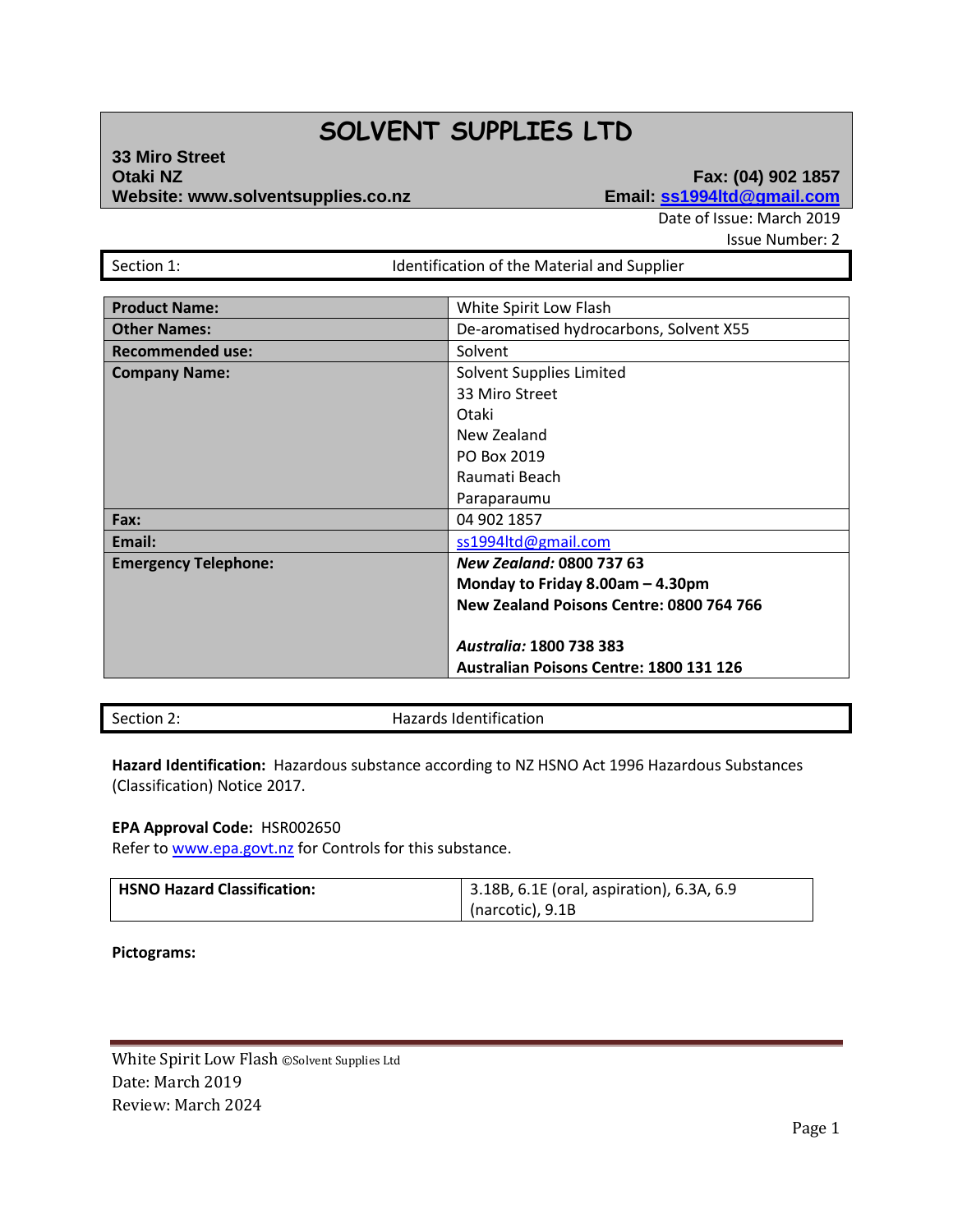## **SOLVENT SUPPLIES LTD**

### **33 Miro Street Website: www.solventsupplies.co.nz**

# **Eax: (04) 902 1857**<br>**Email: <u>ss1994Itd@gmail.com</u>**

Date of Issue: March 2019

Issue Number: 2

| Section 1: |  |
|------------|--|

Identification of the Material and Supplier

| <b>Product Name:</b>        | White Spirit Low Flash                         |  |
|-----------------------------|------------------------------------------------|--|
| <b>Other Names:</b>         | De-aromatised hydrocarbons, Solvent X55        |  |
| <b>Recommended use:</b>     | Solvent                                        |  |
| <b>Company Name:</b>        | Solvent Supplies Limited                       |  |
|                             | 33 Miro Street                                 |  |
|                             | Otaki                                          |  |
|                             | New Zealand                                    |  |
|                             | PO Box 2019                                    |  |
|                             | Raumati Beach                                  |  |
|                             | Paraparaumu                                    |  |
| Fax:                        | 04 902 1857                                    |  |
| Email:                      | ss1994ltd@gmail.com                            |  |
| <b>Emergency Telephone:</b> | <b>New Zealand: 0800 737 63</b>                |  |
|                             | Monday to Friday 8.00am $-$ 4.30pm             |  |
|                             | New Zealand Poisons Centre: 0800 764 766       |  |
|                             |                                                |  |
|                             | <b>Australia: 1800 738 383</b>                 |  |
|                             | <b>Australian Poisons Centre: 1800 131 126</b> |  |

Section 2: **Hazards Identification** 

**Hazard Identification:** Hazardous substance according to NZ HSNO Act 1996 Hazardous Substances (Classification) Notice 2017.

#### **EPA Approval Code:** HSR002650

Refer t[o www.epa.govt.nz](http://www.epa.govt.nz/) for Controls for this substance.

| HSNO Hazard Classification: | 3.18B, 6.1E (oral, aspiration), 6.3A, 6.9 |
|-----------------------------|-------------------------------------------|
|                             | (narcotic), 9.1B                          |

**Pictograms:**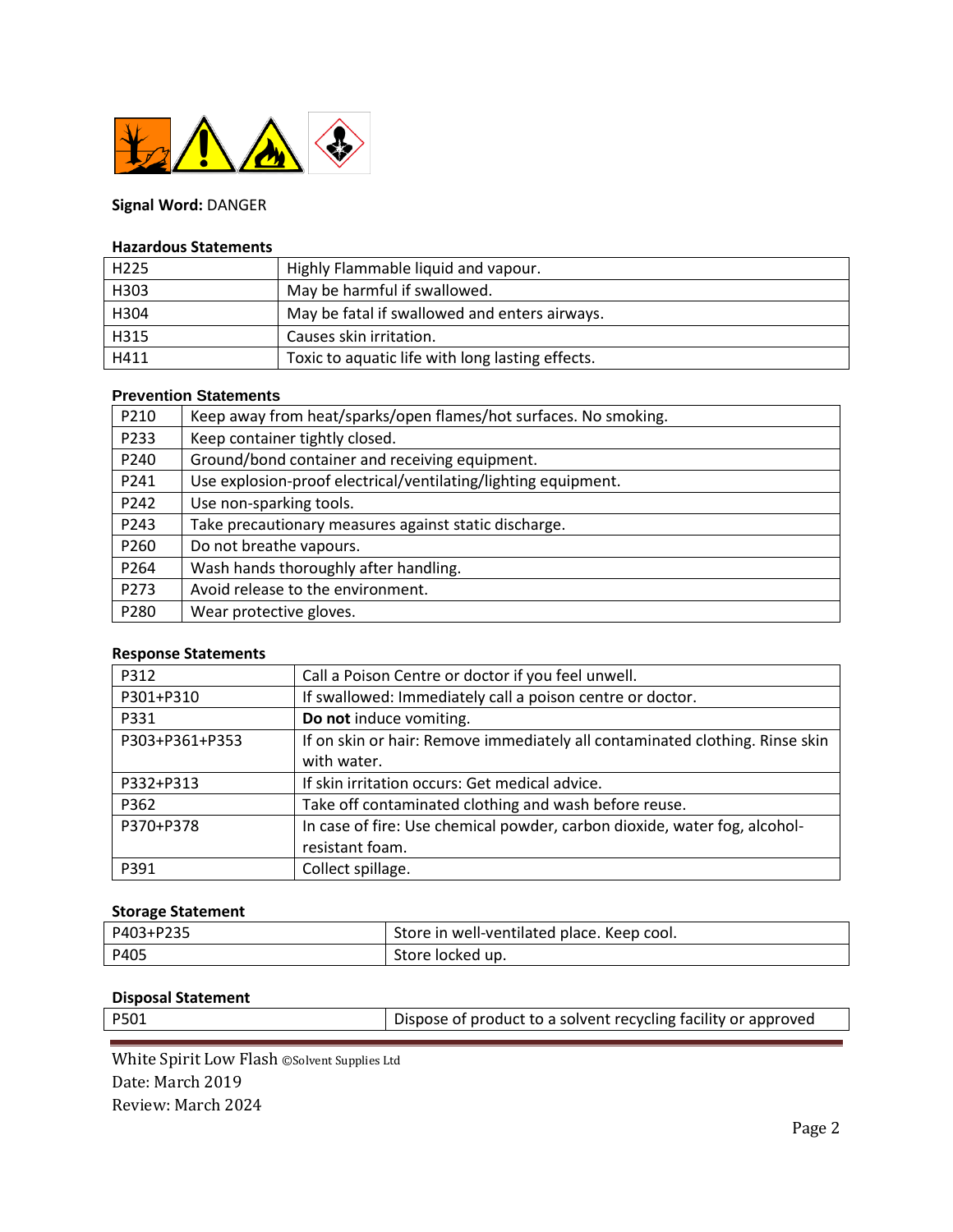

## **Signal Word:** DANGER

#### **Hazardous Statements**

| H <sub>225</sub> | Highly Flammable liquid and vapour.              |
|------------------|--------------------------------------------------|
| H303             | May be harmful if swallowed.                     |
| H304             | May be fatal if swallowed and enters airways.    |
| H315             | Causes skin irritation.                          |
| H411             | Toxic to aquatic life with long lasting effects. |

### **Prevention Statements**

| P210 | Keep away from heat/sparks/open flames/hot surfaces. No smoking. |
|------|------------------------------------------------------------------|
| P233 | Keep container tightly closed.                                   |
| P240 | Ground/bond container and receiving equipment.                   |
| P241 | Use explosion-proof electrical/ventilating/lighting equipment.   |
| P242 | Use non-sparking tools.                                          |
| P243 | Take precautionary measures against static discharge.            |
| P260 | Do not breathe vapours.                                          |
| P264 | Wash hands thoroughly after handling.                            |
| P273 | Avoid release to the environment.                                |
| P280 | Wear protective gloves.                                          |

#### **Response Statements**

| P312           | Call a Poison Centre or doctor if you feel unwell.                           |
|----------------|------------------------------------------------------------------------------|
| P301+P310      | If swallowed: Immediately call a poison centre or doctor.                    |
| P331           | Do not induce vomiting.                                                      |
| P303+P361+P353 | If on skin or hair: Remove immediately all contaminated clothing. Rinse skin |
|                | with water.                                                                  |
| P332+P313      | If skin irritation occurs: Get medical advice.                               |
| P362           | Take off contaminated clothing and wash before reuse.                        |
| P370+P378      | In case of fire: Use chemical powder, carbon dioxide, water fog, alcohol-    |
|                | resistant foam.                                                              |
| P391           | Collect spillage.                                                            |

#### **Storage Statement**

| P403+P235 | Store in well-ventilated place. Keep cool. |
|-----------|--------------------------------------------|
| P405      | Store locked up.                           |

#### **Disposal Statement**

| P501 | Dispose of product to a solvent recycling facility or approved |
|------|----------------------------------------------------------------|
|      |                                                                |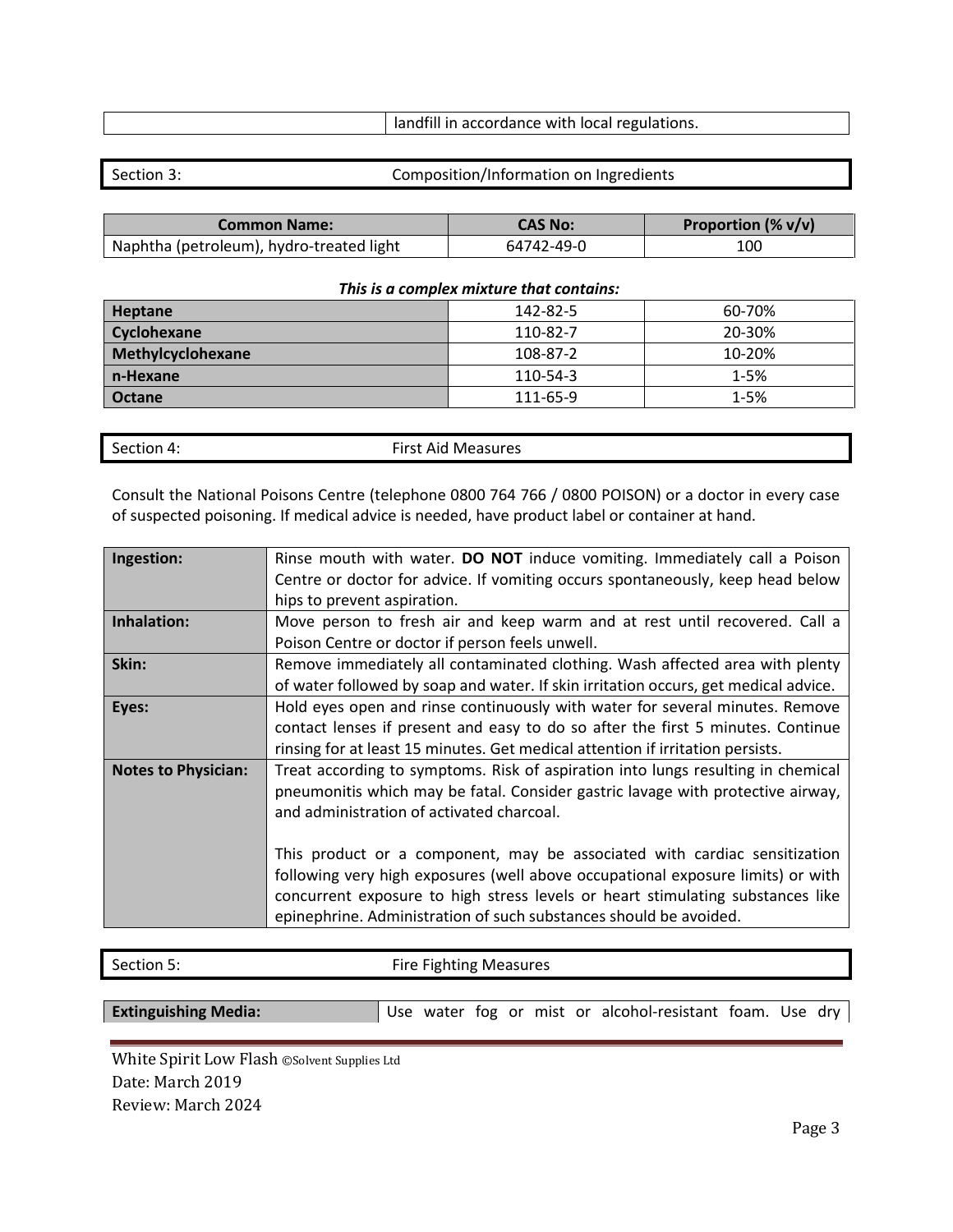| I landfill in accordance with local regulations. |  |
|--------------------------------------------------|--|
|                                                  |  |

Section 3: Composition/Information on Ingredients

| <b>Common Name:</b>                      | CAS No:    | Proportion $(\% v/v)$ |
|------------------------------------------|------------|-----------------------|
| Naphtha (petroleum), hydro-treated light | 64742-49-0 | 100                   |

#### *This is a complex mixture that contains:*

| Heptane            | 142-82-5 | 60-70%   |
|--------------------|----------|----------|
| <b>Cyclohexane</b> | 110-82-7 | 20-30%   |
| Methylcyclohexane  | 108-87-2 | 10-20%   |
| n-Hexane           | 110-54-3 | $1 - 5%$ |
| <b>Octane</b>      | 111-65-9 | $1 - 5%$ |

| Section 4: | <b>First Aid Measures</b> |
|------------|---------------------------|
|            |                           |

Consult the National Poisons Centre (telephone 0800 764 766 / 0800 POISON) or a doctor in every case of suspected poisoning. If medical advice is needed, have product label or container at hand.

| Ingestion:                 | Rinse mouth with water. DO NOT induce vomiting. Immediately call a Poison           |  |  |
|----------------------------|-------------------------------------------------------------------------------------|--|--|
|                            | Centre or doctor for advice. If vomiting occurs spontaneously, keep head below      |  |  |
|                            | hips to prevent aspiration.                                                         |  |  |
| Inhalation:                | Move person to fresh air and keep warm and at rest until recovered. Call a          |  |  |
|                            | Poison Centre or doctor if person feels unwell.                                     |  |  |
| Skin:                      | Remove immediately all contaminated clothing. Wash affected area with plenty        |  |  |
|                            | of water followed by soap and water. If skin irritation occurs, get medical advice. |  |  |
| Eyes:                      | Hold eyes open and rinse continuously with water for several minutes. Remove        |  |  |
|                            | contact lenses if present and easy to do so after the first 5 minutes. Continue     |  |  |
|                            | rinsing for at least 15 minutes. Get medical attention if irritation persists.      |  |  |
| <b>Notes to Physician:</b> | Treat according to symptoms. Risk of aspiration into lungs resulting in chemical    |  |  |
|                            | pneumonitis which may be fatal. Consider gastric lavage with protective airway,     |  |  |
|                            | and administration of activated charcoal.                                           |  |  |
|                            |                                                                                     |  |  |
|                            | This product or a component, may be associated with cardiac sensitization           |  |  |
|                            | following very high exposures (well above occupational exposure limits) or with     |  |  |
|                            | concurrent exposure to high stress levels or heart stimulating substances like      |  |  |
|                            | epinephrine. Administration of such substances should be avoided.                   |  |  |

Section 5: Section 5: Section 5: Section 5: Section 5: Section 4: Section 4: Section 4: Section 4: Section 4: Section 4: Section 4: Section 4: Section 4: Section 4: Section 4: Section 4: Section 4: Section 4: Section 4: Se

**Extinguishing Media:** Use water fog or mist or alcohol-resistant foam. Use dry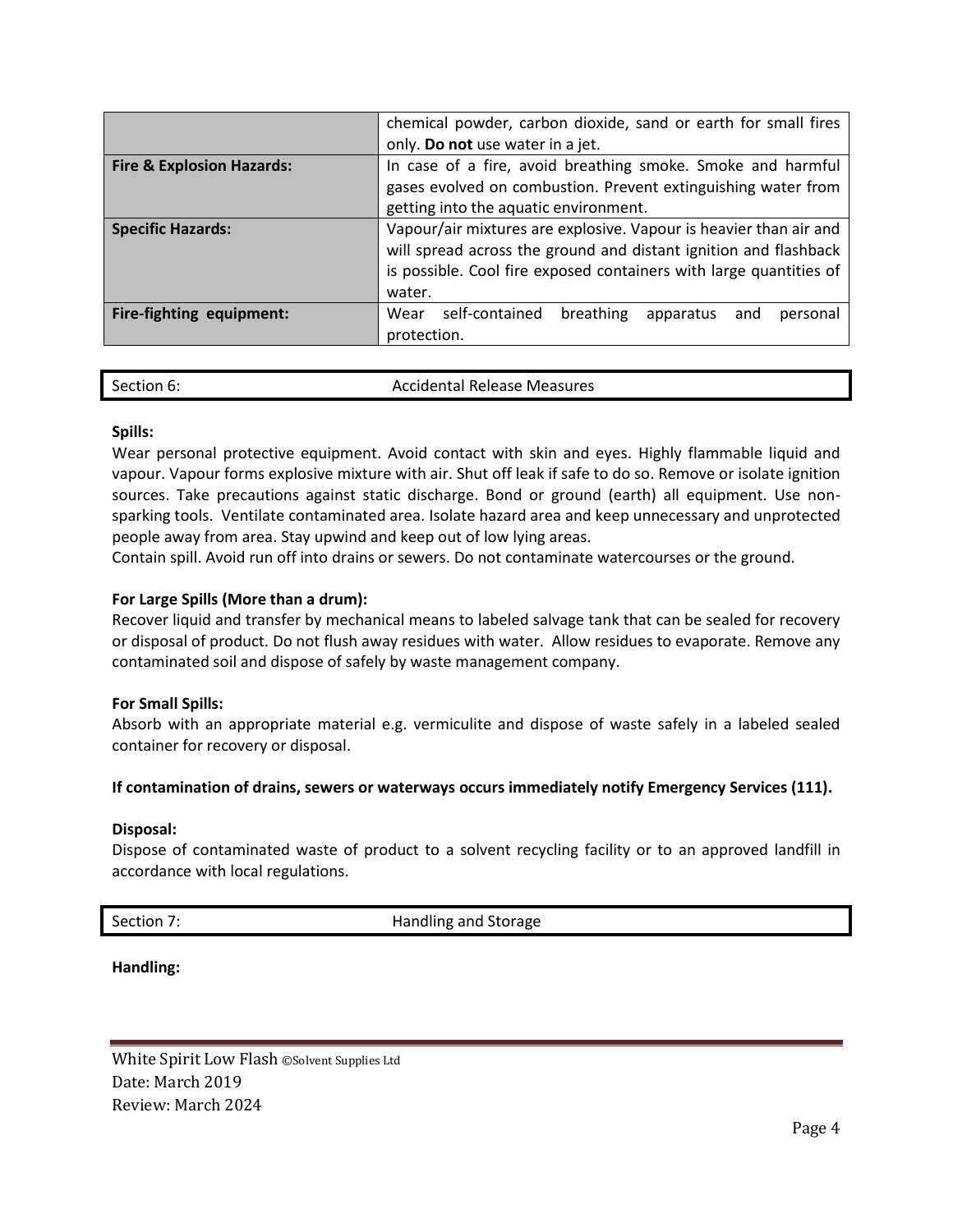|                                      | chemical powder, carbon dioxide, sand or earth for small fires                                                                                                                                                        |  |  |
|--------------------------------------|-----------------------------------------------------------------------------------------------------------------------------------------------------------------------------------------------------------------------|--|--|
|                                      | only. Do not use water in a jet.                                                                                                                                                                                      |  |  |
| <b>Fire &amp; Explosion Hazards:</b> | In case of a fire, avoid breathing smoke. Smoke and harmful<br>gases evolved on combustion. Prevent extinguishing water from<br>getting into the aquatic environment.                                                 |  |  |
| <b>Specific Hazards:</b>             | Vapour/air mixtures are explosive. Vapour is heavier than air and<br>will spread across the ground and distant ignition and flashback<br>is possible. Cool fire exposed containers with large quantities of<br>water. |  |  |
| Fire-fighting equipment:             | self-contained<br>breathing<br>Wear<br>apparatus<br>and<br>personal<br>protection.                                                                                                                                    |  |  |

| Section 6: | Accidental Release Measures |  |
|------------|-----------------------------|--|

#### **Spills:**

Wear personal protective equipment. Avoid contact with skin and eyes. Highly flammable liquid and vapour. Vapour forms explosive mixture with air. Shut off leak if safe to do so. Remove or isolate ignition sources. Take precautions against static discharge. Bond or ground (earth) all equipment. Use nonsparking tools. Ventilate contaminated area. Isolate hazard area and keep unnecessary and unprotected people away from area. Stay upwind and keep out of low lying areas.

Contain spill. Avoid run off into drains or sewers. Do not contaminate watercourses or the ground.

#### **For Large Spills (More than a drum):**

Recover liquid and transfer by mechanical means to labeled salvage tank that can be sealed for recovery or disposal of product. Do not flush away residues with water. Allow residues to evaporate. Remove any contaminated soil and dispose of safely by waste management company.

#### **For Small Spills:**

Absorb with an appropriate material e.g. vermiculite and dispose of waste safely in a labeled sealed container for recovery or disposal.

#### **If contamination of drains, sewers or waterways occurs immediately notify Emergency Services (111).**

#### **Disposal:**

Dispose of contaminated waste of product to a solvent recycling facility or to an approved landfill in accordance with local regulations.

Section 7: Section 7: Section 7: Section 7: Section 7: Section 3: Section 3: Section 3: Section 3: Section 4: Section 4: Section 4: Section 4: Section 4: Section 4: Section 4: Section 4: Section 4: Section 4: Section 4: Se

**Handling:**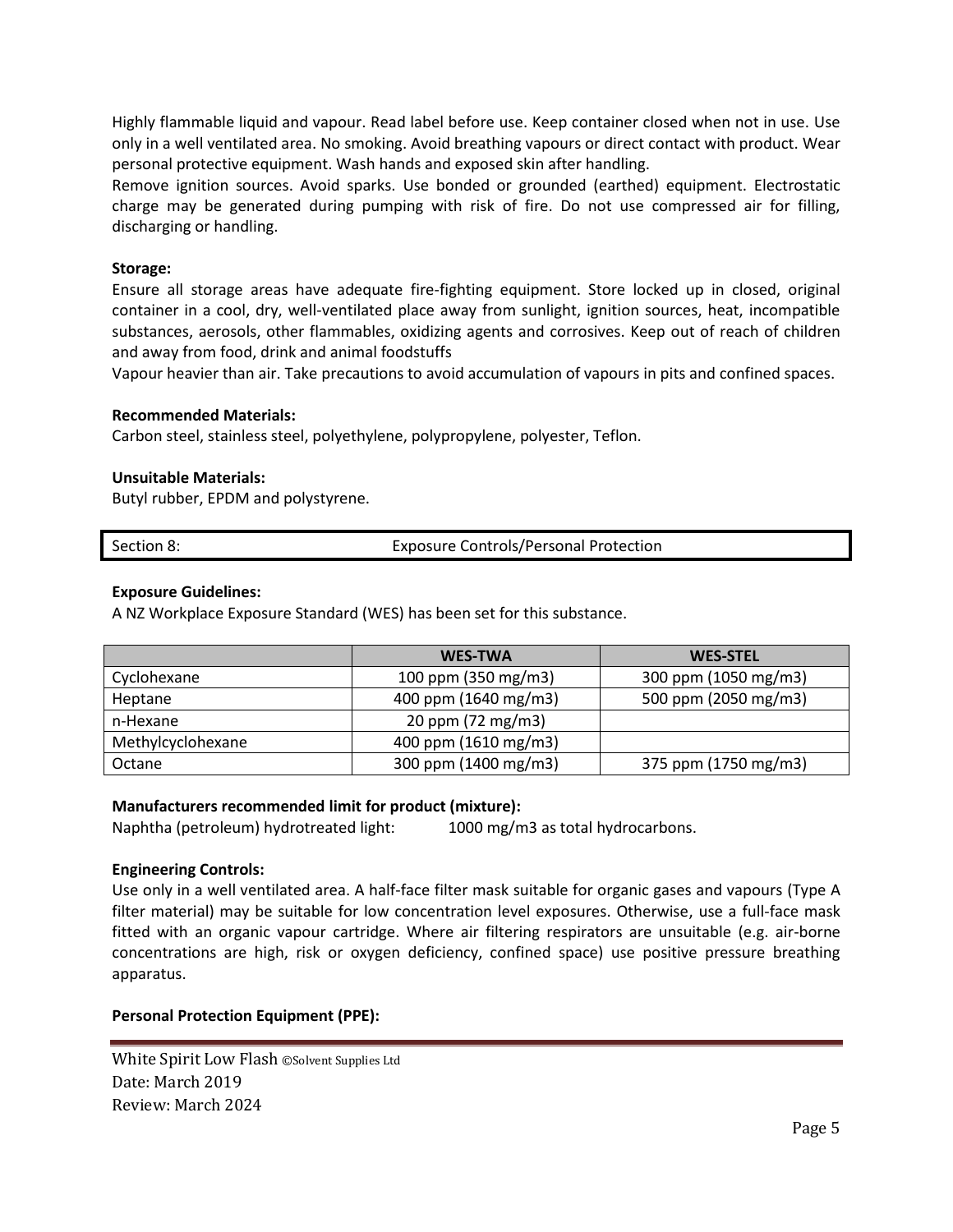Highly flammable liquid and vapour. Read label before use. Keep container closed when not in use. Use only in a well ventilated area. No smoking. Avoid breathing vapours or direct contact with product. Wear personal protective equipment. Wash hands and exposed skin after handling.

Remove ignition sources. Avoid sparks. Use bonded or grounded (earthed) equipment. Electrostatic charge may be generated during pumping with risk of fire. Do not use compressed air for filling, discharging or handling.

#### **Storage:**

Ensure all storage areas have adequate fire-fighting equipment. Store locked up in closed, original container in a cool, dry, well-ventilated place away from sunlight, ignition sources, heat, incompatible substances, aerosols, other flammables, oxidizing agents and corrosives. Keep out of reach of children and away from food, drink and animal foodstuffs

Vapour heavier than air. Take precautions to avoid accumulation of vapours in pits and confined spaces.

#### **Recommended Materials:**

Carbon steel, stainless steel, polyethylene, polypropylene, polyester, Teflon.

#### **Unsuitable Materials:**

Butyl rubber, EPDM and polystyrene.

| Section 8: | <b>Exposure Controls/Personal Protection</b> |
|------------|----------------------------------------------|
|            |                                              |

#### **Exposure Guidelines:**

A NZ Workplace Exposure Standard (WES) has been set for this substance.

|                   | <b>WES-TWA</b>       | <b>WES-STEL</b>      |
|-------------------|----------------------|----------------------|
| Cyclohexane       | 100 ppm (350 mg/m3)  | 300 ppm (1050 mg/m3) |
| Heptane           | 400 ppm (1640 mg/m3) | 500 ppm (2050 mg/m3) |
| n-Hexane          | 20 ppm (72 mg/m3)    |                      |
| Methylcyclohexane | 400 ppm (1610 mg/m3) |                      |
| Octane            | 300 ppm (1400 mg/m3) | 375 ppm (1750 mg/m3) |

#### **Manufacturers recommended limit for product (mixture):**

Naphtha (petroleum) hydrotreated light: 1000 mg/m3 as total hydrocarbons.

#### **Engineering Controls:**

Use only in a well ventilated area. A half-face filter mask suitable for organic gases and vapours (Type A filter material) may be suitable for low concentration level exposures. Otherwise, use a full-face mask fitted with an organic vapour cartridge. Where air filtering respirators are unsuitable (e.g. air-borne concentrations are high, risk or oxygen deficiency, confined space) use positive pressure breathing apparatus.

#### **Personal Protection Equipment (PPE):**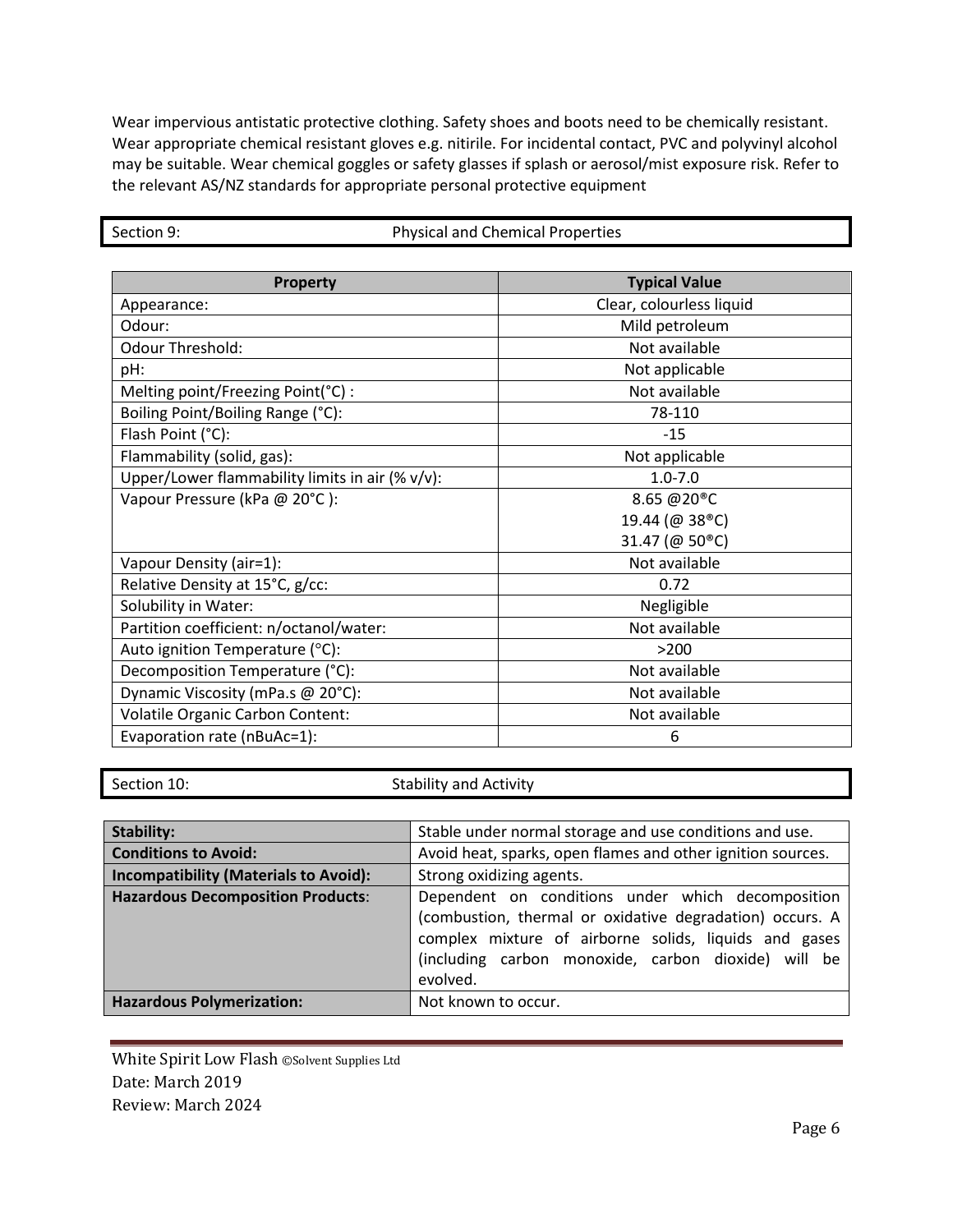Wear impervious antistatic protective clothing. Safety shoes and boots need to be chemically resistant. Wear appropriate chemical resistant gloves e.g. nitirile. For incidental contact, PVC and polyvinyl alcohol may be suitable. Wear chemical goggles or safety glasses if splash or aerosol/mist exposure risk. Refer to the relevant AS/NZ standards for appropriate personal protective equipment

| <b>Property</b>                                 | <b>Typical Value</b>        |
|-------------------------------------------------|-----------------------------|
| Appearance:                                     | Clear, colourless liquid    |
| Odour:                                          | Mild petroleum              |
| <b>Odour Threshold:</b>                         | Not available               |
| pH:                                             | Not applicable              |
| Melting point/Freezing Point(°C) :              | Not available               |
| Boiling Point/Boiling Range (°C):               | 78-110                      |
| Flash Point (°C):                               | $-1.5$                      |
| Flammability (solid, gas):                      | Not applicable              |
| Upper/Lower flammability limits in air (% v/v): | $1.0 - 7.0$                 |
| Vapour Pressure (kPa @ 20°C):                   | 8.65 @20 <sup>®</sup> C     |
|                                                 | 19.44 (@ 38 <sup>®</sup> C) |
|                                                 | 31.47 (@ 50 <sup>®</sup> C) |
| Vapour Density (air=1):                         | Not available               |
| Relative Density at 15°C, g/cc:                 | 0.72                        |
| Solubility in Water:                            | Negligible                  |
| Partition coefficient: n/octanol/water:         | Not available               |
| Auto ignition Temperature (°C):                 | >200                        |
| Decomposition Temperature (°C):                 | Not available               |
| Dynamic Viscosity (mPa.s @ 20°C):               | Not available               |
| <b>Volatile Organic Carbon Content:</b>         | Not available               |
| Evaporation rate (nBuAc=1):                     | 6                           |

Section 9: Physical and Chemical Properties

Section 10: Section 10: Stability and Activity

| Stability:                                   | Stable under normal storage and use conditions and use.                                                                                                                                                                                   |  |  |
|----------------------------------------------|-------------------------------------------------------------------------------------------------------------------------------------------------------------------------------------------------------------------------------------------|--|--|
| <b>Conditions to Avoid:</b>                  | Avoid heat, sparks, open flames and other ignition sources.                                                                                                                                                                               |  |  |
| <b>Incompatibility (Materials to Avoid):</b> | Strong oxidizing agents.                                                                                                                                                                                                                  |  |  |
| <b>Hazardous Decomposition Products:</b>     | Dependent on conditions under which decomposition<br>(combustion, thermal or oxidative degradation) occurs. A<br>complex mixture of airborne solids, liquids and gases<br>(including carbon monoxide, carbon dioxide) will be<br>evolved. |  |  |
| <b>Hazardous Polymerization:</b>             | Not known to occur.                                                                                                                                                                                                                       |  |  |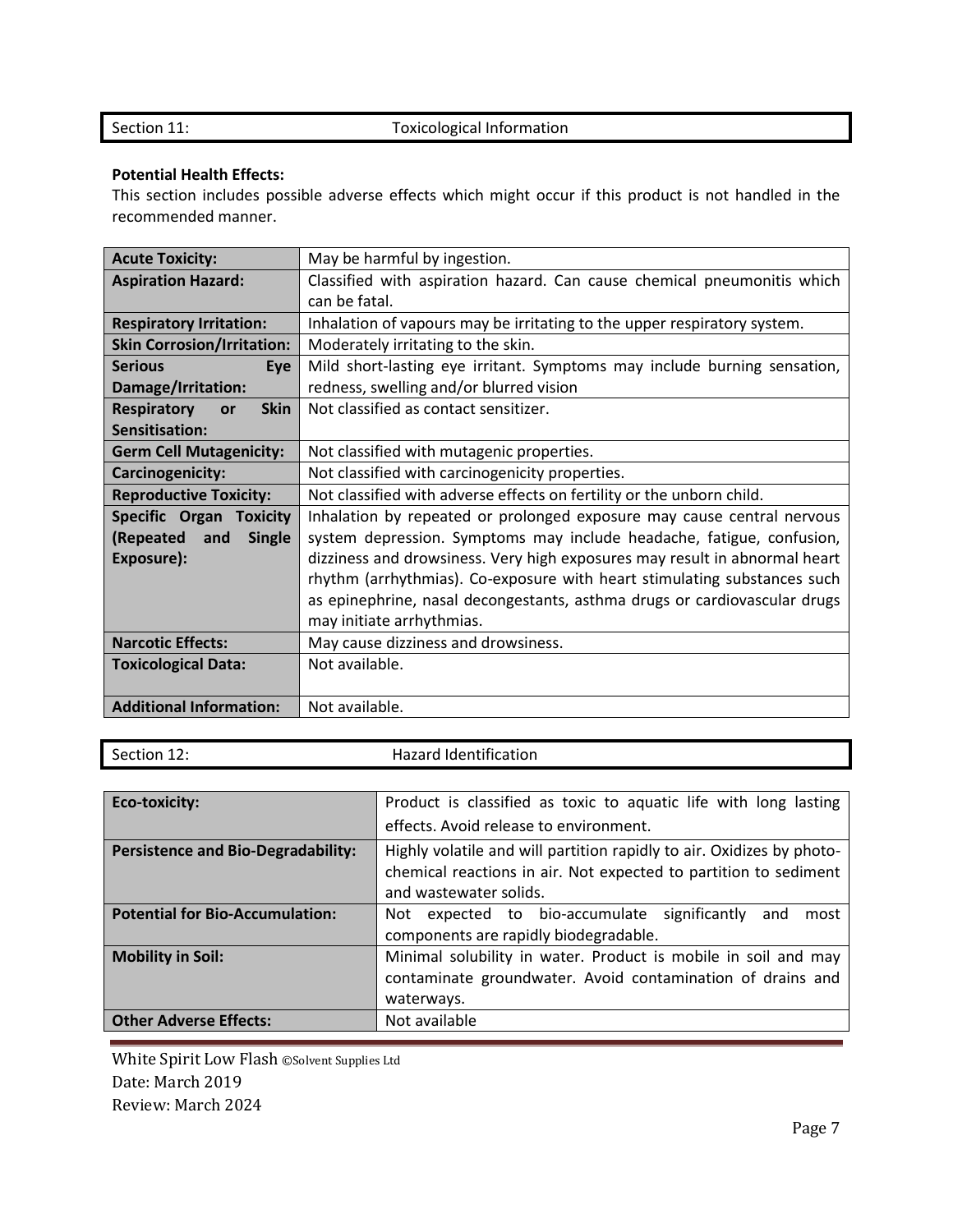### Section 11: Toxicological Information

#### **Potential Health Effects:**

This section includes possible adverse effects which might occur if this product is not handled in the recommended manner.

| <b>Acute Toxicity:</b>                                                                   | May be harmful by ingestion.                                              |  |  |
|------------------------------------------------------------------------------------------|---------------------------------------------------------------------------|--|--|
| <b>Aspiration Hazard:</b>                                                                | Classified with aspiration hazard. Can cause chemical pneumonitis which   |  |  |
|                                                                                          | can be fatal.                                                             |  |  |
| <b>Respiratory Irritation:</b>                                                           | Inhalation of vapours may be irritating to the upper respiratory system.  |  |  |
| <b>Skin Corrosion/Irritation:</b>                                                        | Moderately irritating to the skin.                                        |  |  |
| <b>Serious</b><br>Eye                                                                    | Mild short-lasting eye irritant. Symptoms may include burning sensation,  |  |  |
| Damage/Irritation:                                                                       | redness, swelling and/or blurred vision                                   |  |  |
| <b>Respiratory</b><br><b>Skin</b><br>or                                                  | Not classified as contact sensitizer.                                     |  |  |
| Sensitisation:                                                                           |                                                                           |  |  |
| <b>Germ Cell Mutagenicity:</b>                                                           | Not classified with mutagenic properties.                                 |  |  |
| Carcinogenicity:                                                                         | Not classified with carcinogenicity properties.                           |  |  |
| <b>Reproductive Toxicity:</b>                                                            | Not classified with adverse effects on fertility or the unborn child.     |  |  |
| Specific Organ<br><b>Toxicity</b>                                                        | Inhalation by repeated or prolonged exposure may cause central nervous    |  |  |
| (Repeated<br>and<br><b>Single</b>                                                        | system depression. Symptoms may include headache, fatigue, confusion,     |  |  |
| dizziness and drowsiness. Very high exposures may result in abnormal heart<br>Exposure): |                                                                           |  |  |
|                                                                                          | rhythm (arrhythmias). Co-exposure with heart stimulating substances such  |  |  |
|                                                                                          | as epinephrine, nasal decongestants, asthma drugs or cardiovascular drugs |  |  |
|                                                                                          | may initiate arrhythmias.                                                 |  |  |
| <b>Narcotic Effects:</b>                                                                 | May cause dizziness and drowsiness.                                       |  |  |
| <b>Toxicological Data:</b>                                                               | Not available.                                                            |  |  |
|                                                                                          |                                                                           |  |  |
| <b>Additional Information:</b>                                                           | Not available.                                                            |  |  |

| Section 12: |  |
|-------------|--|
|             |  |

Hazard Identification

| <b>Eco-toxicity:</b>                      | Product is classified as toxic to aquatic life with long lasting      |  |  |
|-------------------------------------------|-----------------------------------------------------------------------|--|--|
|                                           | effects. Avoid release to environment.                                |  |  |
| <b>Persistence and Bio-Degradability:</b> | Highly volatile and will partition rapidly to air. Oxidizes by photo- |  |  |
|                                           | chemical reactions in air. Not expected to partition to sediment      |  |  |
|                                           | and wastewater solids.                                                |  |  |
| <b>Potential for Bio-Accumulation:</b>    | expected to bio-accumulate significantly<br>and<br>Not<br>most        |  |  |
|                                           | components are rapidly biodegradable.                                 |  |  |
| <b>Mobility in Soil:</b>                  | Minimal solubility in water. Product is mobile in soil and may        |  |  |
|                                           | contaminate groundwater. Avoid contamination of drains and            |  |  |
|                                           | waterways.                                                            |  |  |
| <b>Other Adverse Effects:</b>             | Not available                                                         |  |  |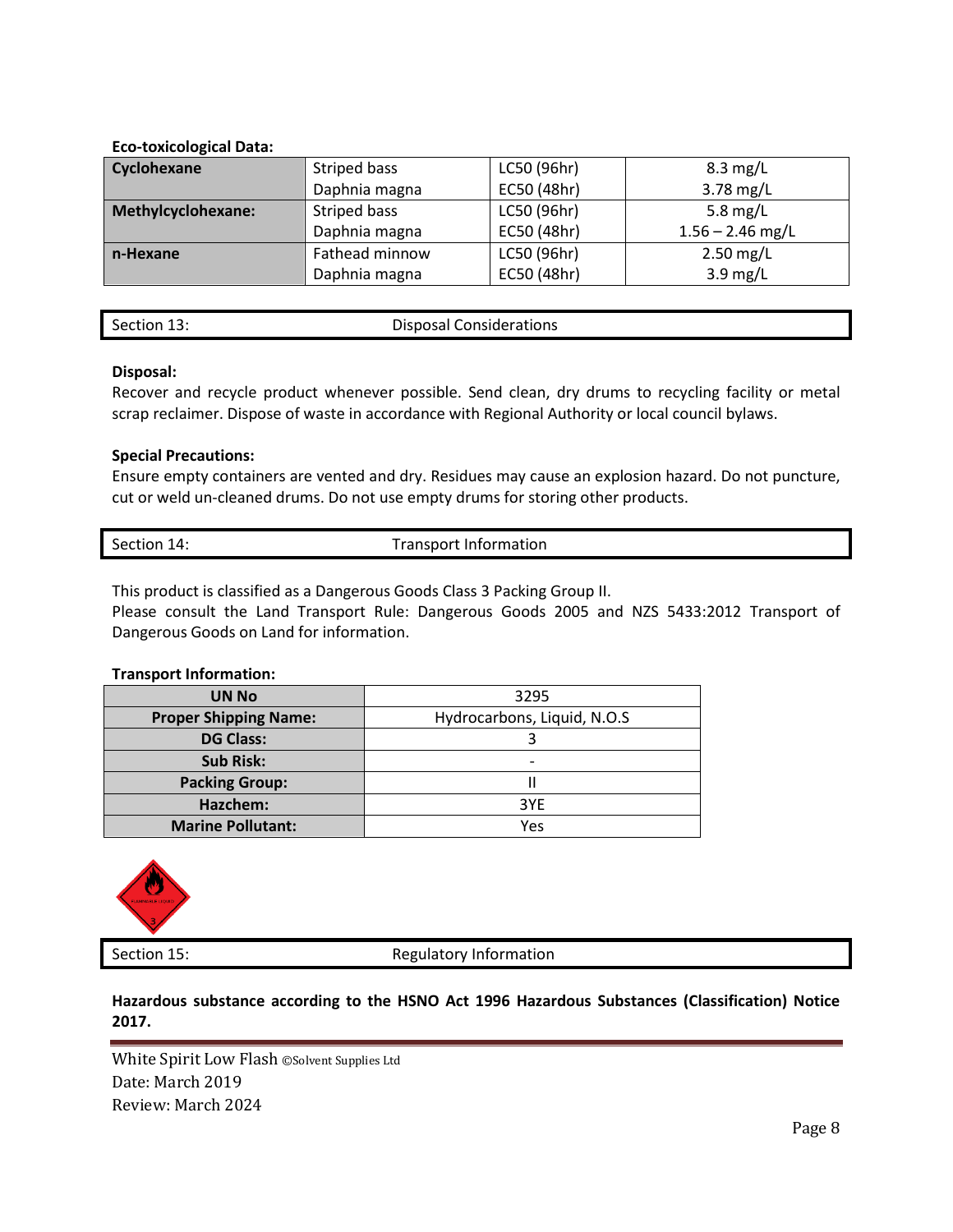#### **Eco-toxicological Data:**

| Cyclohexane        | Striped bass   | LC50 (96hr) | $8.3 \text{ mg/L}$ |
|--------------------|----------------|-------------|--------------------|
|                    | Daphnia magna  | EC50 (48hr) | 3.78 mg/L          |
| Methylcyclohexane: | Striped bass   | LC50 (96hr) | 5.8 $mg/L$         |
|                    | Daphnia magna  | EC50 (48hr) | $1.56 - 2.46$ mg/L |
| n-Hexane           | Fathead minnow | LC50 (96hr) | $2.50$ mg/L        |
|                    | Daphnia magna  | EC50 (48hr) | $3.9 \text{ mg/L}$ |

| Section 13: |  |
|-------------|--|
|             |  |
|             |  |

Disposal Considerations

#### **Disposal:**

Recover and recycle product whenever possible. Send clean, dry drums to recycling facility or metal scrap reclaimer. Dispose of waste in accordance with Regional Authority or local council bylaws.

#### **Special Precautions:**

Ensure empty containers are vented and dry. Residues may cause an explosion hazard. Do not puncture, cut or weld un-cleaned drums. Do not use empty drums for storing other products.

| <b>Transport Information</b><br>Section 14: |
|---------------------------------------------|
|                                             |

This product is classified as a Dangerous Goods Class 3 Packing Group II.

Please consult the Land Transport Rule: Dangerous Goods 2005 and NZS 5433:2012 Transport of Dangerous Goods on Land for information.

#### **Transport Information:**

| <b>UN No</b>                 | 3295                        |
|------------------------------|-----------------------------|
| <b>Proper Shipping Name:</b> | Hydrocarbons, Liquid, N.O.S |
| <b>DG Class:</b>             |                             |
| <b>Sub Risk:</b>             | $\overline{\phantom{0}}$    |
| <b>Packing Group:</b>        |                             |
| Hazchem:                     | 3YE                         |
| <b>Marine Pollutant:</b>     | Yes                         |



Section 15: Section 15: Regulatory Information

**Hazardous substance according to the HSNO Act 1996 Hazardous Substances (Classification) Notice 2017.**